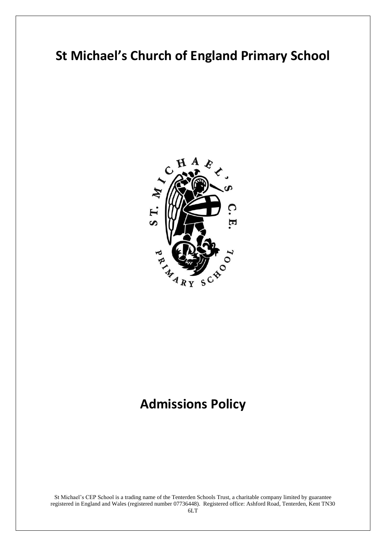# **St Michael's Church of England Primary School**



# **Admissions Policy**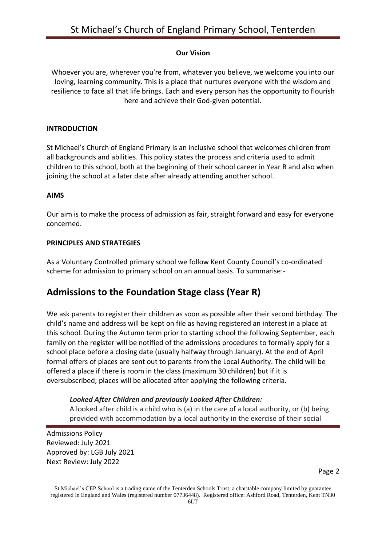### **Our Vision**

Whoever you are, wherever you're from, whatever you believe, we welcome you into our loving, learning community. This is a place that nurtures everyone with the wisdom and resilience to face all that life brings. Each and every person has the opportunity to flourish here and achieve their God-given potential.

#### **INTRODUCTION**

St Michael's Church of England Primary is an inclusive school that welcomes children from all backgrounds and abilities. This policy states the process and criteria used to admit children to this school, both at the beginning of their school career in Year R and also when joining the school at a later date after already attending another school.

#### **AIMS**

Our aim is to make the process of admission as fair, straight forward and easy for everyone concerned.

#### **PRINCIPLES AND STRATEGIES**

As a Voluntary Controlled primary school we follow Kent County Council's co-ordinated scheme for admission to primary school on an annual basis. To summarise:-

## **Admissions to the Foundation Stage class (Year R)**

We ask parents to register their children as soon as possible after their second birthday. The child's name and address will be kept on file as having registered an interest in a place at this school. During the Autumn term prior to starting school the following September, each family on the register will be notified of the admissions procedures to formally apply for a school place before a closing date (usually halfway through January). At the end of April formal offers of places are sent out to parents from the Local Authority. The child will be offered a place if there is room in the class (maximum 30 children) but if it is oversubscribed; places will be allocated after applying the following criteria.

### *Looked After Children and previously Looked After Children:*

A looked after child is a child who is (a) in the care of a local authority, or (b) being provided with accommodation by a local authority in the exercise of their social

Admissions Policy Reviewed: July 2021 Approved by: LGB July 2021 Next Review: July 2022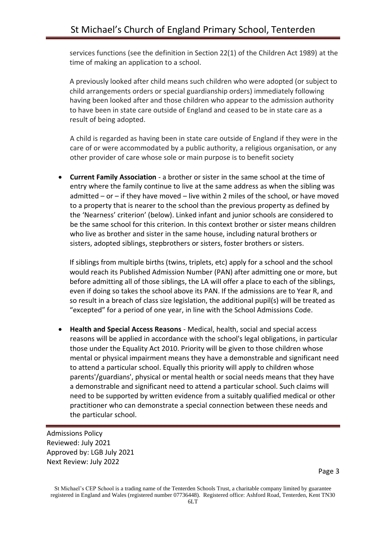services functions (see the definition in Section 22(1) of the Children Act 1989) at the time of making an application to a school.

A previously looked after child means such children who were adopted (or subject to child arrangements orders or special guardianship orders) immediately following having been looked after and those children who appear to the admission authority to have been in state care outside of England and ceased to be in state care as a result of being adopted.

A child is regarded as having been in state care outside of England if they were in the care of or were accommodated by a public authority, a religious organisation, or any other provider of care whose sole or main purpose is to benefit society

• **Current Family Association** - a brother or sister in the same school at the time of entry where the family continue to live at the same address as when the sibling was admitted – or – if they have moved – live within 2 miles of the school, or have moved to a property that is nearer to the school than the previous property as defined by the 'Nearness' criterion' (below). Linked infant and junior schools are considered to be the same school for this criterion. In this context brother or sister means children who live as brother and sister in the same house, including natural brothers or sisters, adopted siblings, stepbrothers or sisters, foster brothers or sisters.

If siblings from multiple births (twins, triplets, etc) apply for a school and the school would reach its Published Admission Number (PAN) after admitting one or more, but before admitting all of those siblings, the LA will offer a place to each of the siblings, even if doing so takes the school above its PAN. If the admissions are to Year R, and so result in a breach of class size legislation, the additional pupil(s) will be treated as "excepted" for a period of one year, in line with the School Admissions Code.

• **Health and Special Access Reasons** - Medical, health, social and special access reasons will be applied in accordance with the school's legal obligations, in particular those under the Equality Act 2010. Priority will be given to those children whose mental or physical impairment means they have a demonstrable and significant need to attend a particular school. Equally this priority will apply to children whose parents'/guardians', physical or mental health or social needs means that they have a demonstrable and significant need to attend a particular school. Such claims will need to be supported by written evidence from a suitably qualified medical or other practitioner who can demonstrate a special connection between these needs and the particular school.

Admissions Policy Reviewed: July 2021 Approved by: LGB July 2021 Next Review: July 2022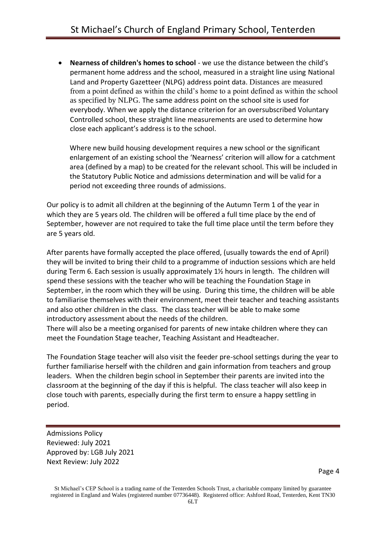• **Nearness of children's homes to school** - we use the distance between the child's permanent home address and the school, measured in a straight line using National Land and Property Gazetteer (NLPG) address point data. Distances are measured from a point defined as within the child's home to a point defined as within the school as specified by NLPG. The same address point on the school site is used for everybody. When we apply the distance criterion for an oversubscribed Voluntary Controlled school, these straight line measurements are used to determine how close each applicant's address is to the school.

Where new build housing development requires a new school or the significant enlargement of an existing school the 'Nearness' criterion will allow for a catchment area (defined by a map) to be created for the relevant school. This will be included in the Statutory Public Notice and admissions determination and will be valid for a period not exceeding three rounds of admissions.

Our policy is to admit all children at the beginning of the Autumn Term 1 of the year in which they are 5 years old. The children will be offered a full time place by the end of September, however are not required to take the full time place until the term before they are 5 years old.

After parents have formally accepted the place offered, (usually towards the end of April) they will be invited to bring their child to a programme of induction sessions which are held during Term 6. Each session is usually approximately 1½ hours in length. The children will spend these sessions with the teacher who will be teaching the Foundation Stage in September, in the room which they will be using. During this time, the children will be able to familiarise themselves with their environment, meet their teacher and teaching assistants and also other children in the class. The class teacher will be able to make some introductory assessment about the needs of the children.

There will also be a meeting organised for parents of new intake children where they can meet the Foundation Stage teacher, Teaching Assistant and Headteacher.

The Foundation Stage teacher will also visit the feeder pre-school settings during the year to further familiarise herself with the children and gain information from teachers and group leaders. When the children begin school in September their parents are invited into the classroom at the beginning of the day if this is helpful. The class teacher will also keep in close touch with parents, especially during the first term to ensure a happy settling in period.

Admissions Policy Reviewed: July 2021 Approved by: LGB July 2021 Next Review: July 2022